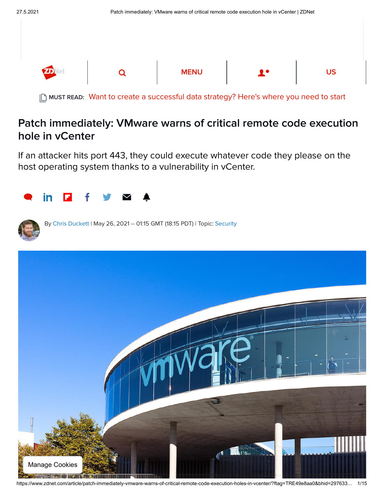| <b>ZD</b> let | <b>MENU</b> | <b>A</b> A | <b>US</b> |
|---------------|-------------|------------|-----------|

MUST READ: [Want to create a successful data strategy? Here's where you need to start](https://www.zdnet.com/article/want-to-be-a-create-a-successful-data-strategy-heres-where-you-need-to-start/)

## Patch immediately: VMware warns of critical remote code execution hole in vCenter

If an attacker hits port 443, they could execute whatever code they please on the host operating system thanks to a vulnerability in vCenter.





By [Chris Duckett](https://www.zdnet.com/meet-the-team/au/chris-duckett/) | May 26, 2021 -- 01:15 GMT (18:15 PDT) | Topic: [Security](https://www.zdnet.com/topic/security/)



https://www.zdnet.com/article/patch-immediately-vmware-warns-of-critical-remote-code-execution-holes-in-vcenter/?ftag=TRE49e8aa0&bhid=297633… 1/15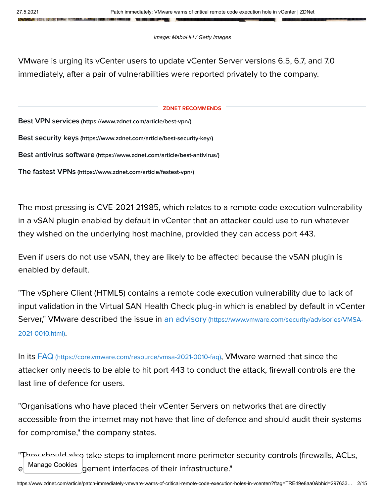LINE HILL HALL HE HE HE HE HE

Image: MaboHH / Getty Images

VMware is urging its vCenter users to update vCenter Server versions 6.5, 6.7, and 7.0 immediately, after a pair of vulnerabilities were reported privately to the company.

## ZDNET RECOMMENDS

Best VPN services [\(https://www.zdnet.com/article/best-vpn/\)](https://www.zdnet.com/article/best-vpn/)

Best security keys [\(https://www.zdnet.com/article/best-security-key/\)](https://www.zdnet.com/article/best-security-key/)

Best antivirus software [\(https://www.zdnet.com/article/best-antivirus/\)](https://www.zdnet.com/article/best-antivirus/)

The fastest VPNs [\(https://www.zdnet.com/article/fastest-vpn/\)](https://www.zdnet.com/article/fastest-vpn/)

The most pressing is CVE-2021-21985, which relates to a remote code execution vulnerability in a vSAN plugin enabled by default in vCenter that an attacker could use to run whatever they wished on the underlying host machine, provided they can access port 443.

Even if users do not use vSAN, they are likely to be affected because the vSAN plugin is enabled by default.

"The vSphere Client (HTML5) contains a remote code execution vulnerability due to lack of input validation in the Virtual SAN Health Check plug-in which is enabled by default in vCenter [Server," VMware described the issue in an advisory](https://www.vmware.com/security/advisories/VMSA-2021-0010.html) (https://www.vmware.com/security/advisories/VMSA-2021-0010.html).

In its FAQ [\(https://core.vmware.com/resource/vmsa-2021-0010-faq\)](https://core.vmware.com/resource/vmsa-2021-0010-faq), VMware warned that since the attacker only needs to be able to hit port 443 to conduct the attack, firewall controls are the last line of defence for users.

"Organisations who have placed their vCenter Servers on networks that are directly accessible from the internet may not have that line of defence and should audit their systems for compromise," the company states.

"They should also take steps to implement more perimeter security controls (firewalls, ACLs, gement interfaces of their infrastructure." Manage Cookies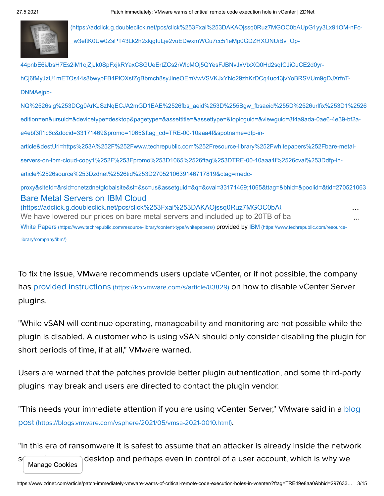

(https://adclick.g.doubleclick.net/pcs/click%253Fxai%253DAKAOjssq0Ruz7MGOC0bAUpG1yy3Lx91OM-nFc w3eftK0Uw0ZsPT43Lk2h2xkjgIuLje2vuEDwxmWCu7cc51eMp0GDZHXQNUiBv\_Op-

Bare Metal Servers on IBM Cloud (https://adclick.g.doubleclick.net/pcs/click%253Fxai%253DAKAOjssq0Ruz7MGOC0bAl We have lowered our prices on bare metal servers and included up to 20TB of bandwidth cost free. Get free. Get free. Get free. Get free. Get free. Get free. Get free. Get free. Get free. Get free. Get free. Get free. Get f 44pnbE6iJbsH7Es2iM1ojZjJk0SpFxjkRYaxCSGUeErtZCs2rWlcMOj5QYesFJBNvJxVtxXQ0Hd2sqICJiCuCE2d0yrhCj6fMyJzU1mETOs44s8bwypFB4PlOXsfZgBbmch8syJlneOEmVwVSVKJxYNo29zhKrDCq4uc43jvYoBRSVUm9gDJXrfnT-DNMAejpb-[NQ%2526sig%253DCg0ArKJSzNqECJA2mGD1EAE%2526fbs\\_aeid%253D%255Bgw\\_fbsaeid%255D%2526urlfix%253D1%2526](https://adclick.g.doubleclick.net/pcs/click%253Fxai%253DAKAOjssq0Ruz7MGOC0bAUpG1yy3Lx91OM-nFc-_w3eftK0Uw0ZsPT43Lk2h2xkjgIuLje2vuEDwxmWCu7cc51eMp0GDZHXQNUiBv_Op-44pnbE6iJbsH7Es2iM1ojZjJk0SpFxjkRYaxCSGUeErtZCs2rWlcMOj5QYesFJBNvJxVtxXQ0Hd2sqICJiCuCE2d0yr-hCj6fMyJzU1mETOs44s8bwypFB4PlOXsfZgBbmch8syJlneOEmVwVSVKJxYNo29zhKrDCq4uc43jvYoBRSVUm9gDJXrfnT-DNMAejpb-NQ%2526sig%253DCg0ArKJSzNqECJA2mGD1EAE%2526fbs_aeid%253D%255Bgw_fbsaeid%255D%2526urlfix%253D1%2526adurl%253Dhttps://lnk.techrepublic.com/redir?edition=en&ursuid=&devicetype=desktop&pagetype=&assettitle=&assettype=&topicguid=&viewguid=8f4a9ada-0ae6-4e39-bf2a-e4ebf3ff1c6c&docid=33171469&promo=1065&ftag_cd=TRE-00-10aaa4f&spotname=dfp-in-article&destUrl=https%253A%252F%252Fwww.techrepublic.com%252Fresource-library%252Fwhitepapers%252Fbare-metal-servers-on-ibm-cloud-copy1%252F%253Fpromo%253D1065%2526ftag%253DTRE-00-10aaa4f%2526cval%253Ddfp-in-article%2526source%253Dzdnet%2526tid%253D2705210639146717819&ctag=medc-proxy&siteId=&rsid=cnetzdnetglobalsite&sl=&sc=us&assetguid=&q=&cval=33171469;1065&ttag=&bhid=&poolid=&tid=2705210639146717819) edition=en&ursuid=&devicetype=desktop&pagetype=&assettitle=&assettype=&topicguid=&viewguid=8f4a9ada-0ae6-4e39-bf2ae4ebf3ff1c6c&docid=33171469&promo=1065&ftag\_cd=TRE-00-10aaa4f&spotname=dfp-inarticle&destUrl=https%253A%252F%252Fwww.techrepublic.com%252Fresource-library%252Fwhitepapers%252Fbare-metalservers-on-ibm-cloud-copy1%252F%253Fpromo%253D1065%2526ftag%253DTRE-00-10aaa4f%2526cval%253Ddfp-inarticle%2526source%253Dzdnet%2526tid%253D2705210639146717819&ctag=medcproxy&siteId=&rsid=cnetzdnetglobalsite&sl=&sc=us&assetguid=&q=&cval=33171469;1065&ttag=&bhid=&poolid=&tid=270521063 White Papers [\(https://www.techrepublic.com/resource-library/content-type/whitepapers/](https://www.techrepublic.com/resource-library/content-type/whitepapers/)[\)](https://www.techrepublic.com/resource-library/company/ibm/) provided by IBM (https://www.techrepublic.com/resourcelibrary/company/ibm/) ... ...

To fix the issue, VMware recommends users update vCenter, or if not possible, the company has provided instructions [\(https://kb.vmware.com/s/article/83829\)](https://kb.vmware.com/s/article/83829) on how to disable vCenter Server plugins.

"While vSAN will continue operating, manageability and monitoring are not possible while the plugin is disabled. A customer who is using vSAN should only consider disabling the plugin for short periods of time, if at all," VMware warned.

Users are warned that the patches provide better plugin authentication, and some third-party plugins may break and users are directed to contact the plugin vendor.

"This needs your immediate attention if you are using vCenter Server," VMware said in a <mark>blo</mark>g post (https://blogs.vmware.com/vsphere/2021/05/vmsa-2021-0010.html).

"In this era of ransomware it is safest to assume that an attacker is already inside the network

some methods of a user account, which is why we Manage Cookies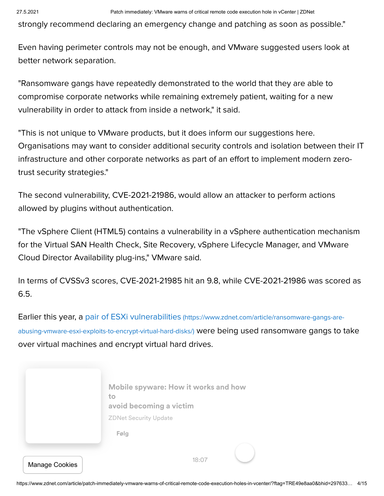strongly recommend declaring an emergency change and patching as soon as possible."

Even having perimeter controls may not be enough, and VMware suggested users look at better network separation.

"Ransomware gangs have repeatedly demonstrated to the world that they are able to compromise corporate networks while remaining extremely patient, waiting for a new vulnerability in order to attack from inside a network," it said.

"This is not unique to VMware products, but it does inform our suggestions here. Organisations may want to consider additional security controls and isolation between their IT infrastructure and other corporate networks as part of an effort to implement modern zerotrust security strategies."

The second vulnerability, CVE-2021-21986, would allow an attacker to perform actions allowed by plugins without authentication.

"The vSphere Client (HTML5) contains a vulnerability in a vSphere authentication mechanism for the Virtual SAN Health Check, Site Recovery, vSphere Lifecycle Manager, and VMware Cloud Director Availability plug-ins," VMware said.

In terms of CVSSv3 scores, CVE-2021-21985 hit an 9.8, while CVE-2021-21986 was scored as 6.5.

[Earlier this year, a pair of ESXi vulnerabilities](https://www.zdnet.com/article/ransomware-gangs-are-abusing-vmware-esxi-exploits-to-encrypt-virtual-hard-disks/) (https://www.zdnet.com/article/ransomware-gangs-areabusing-vmware-esxi-exploits-to-encrypt-virtual-hard-disks/) were being used ransomware gangs to take over virtual machines and encrypt virtual hard drives.

|                       | Mobile spyware: How it works and how<br>to<br>avoid becoming a victim |
|-----------------------|-----------------------------------------------------------------------|
|                       | <b>ZDNet Security Update</b>                                          |
|                       | Følg                                                                  |
|                       |                                                                       |
| <b>Manage Cookies</b> | 18:07                                                                 |